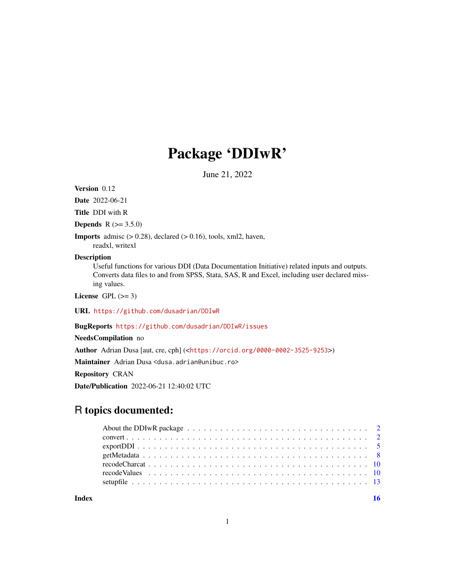## Package 'DDIwR'

June 21, 2022

<span id="page-0-0"></span>Version 0.12

Date 2022-06-21

Title DDI with R

**Depends** R  $(>= 3.5.0)$ 

**Imports** admisc  $(> 0.28)$ , declared  $(> 0.16)$ , tools, xml2, haven,

readxl, writexl

## Description

Useful functions for various DDI (Data Documentation Initiative) related inputs and outputs. Converts data files to and from SPSS, Stata, SAS, R and Excel, including user declared missing values.

License GPL  $(>= 3)$ 

URL <https://github.com/dusadrian/DDIwR>

BugReports <https://github.com/dusadrian/DDIwR/issues>

NeedsCompilation no

Author Adrian Dusa [aut, cre, cph] (<<https://orcid.org/0000-0002-3525-9253>>)

Maintainer Adrian Dusa <dusa.adrian@unibuc.ro>

Repository CRAN

Date/Publication 2022-06-21 12:40:02 UTC

## R topics documented:

**Index** the contract of the contract of the contract of the contract of the contract of the contract of the contract of the contract of the contract of the contract of the contract of the contract of the contract of the co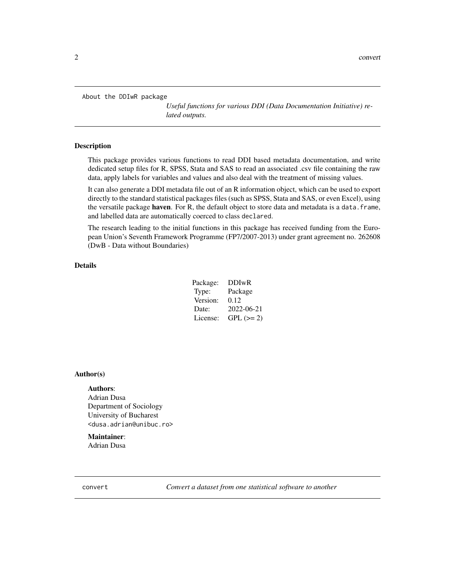<span id="page-1-0"></span>About the DDIwR package

*Useful functions for various DDI (Data Documentation Initiative) related outputs.*

## Description

This package provides various functions to read DDI based metadata documentation, and write dedicated setup files for R, SPSS, Stata and SAS to read an associated .csv file containing the raw data, apply labels for variables and values and also deal with the treatment of missing values.

It can also generate a DDI metadata file out of an R information object, which can be used to export directly to the standard statistical packages files (such as SPSS, Stata and SAS, or even Excel), using the versatile package haven. For R, the default object to store data and metadata is a data. frame, and labelled data are automatically coerced to class declared.

The research leading to the initial functions in this package has received funding from the European Union's Seventh Framework Programme (FP7/2007-2013) under grant agreement no. 262608 (DwB - Data without Boundaries)

## Details

| Package: | <b>DDIwR</b> |
|----------|--------------|
| Type:    | Package      |
| Version: | 0.12         |
| Date:    | 2022-06-21   |
| License: | $GPL (= 2)$  |

#### Author(s)

## Authors:

Adrian Dusa Department of Sociology University of Bucharest <dusa.adrian@unibuc.ro>

## Maintainer:

Adrian Dusa

convert *Convert a dataset from one statistical software to another*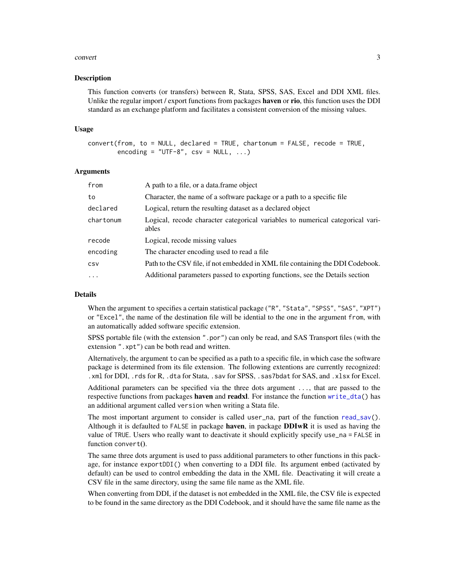#### <span id="page-2-0"></span>convert 3

#### Description

This function converts (or transfers) between R, Stata, SPSS, SAS, Excel and DDI XML files. Unlike the regular import / export functions from packages **haven** or rio, this function uses the DDI standard as an exchange platform and facilitates a consistent conversion of the missing values.

#### Usage

```
convert(from, to = NULL, declared = TRUE, chartonum = FALSE, recode = TRUE,
        encoding = "UTF-8", \text{ csv} = NULL, ...
```
## **Arguments**

| from       | A path to a file, or a data.frame object                                                |
|------------|-----------------------------------------------------------------------------------------|
| to         | Character, the name of a software package or a path to a specific file                  |
| declared   | Logical, return the resulting dataset as a declared object                              |
| chartonum  | Logical, recode character categorical variables to numerical categorical vari-<br>ables |
| recode     | Logical, recode missing values                                                          |
| encoding   | The character encoding used to read a file.                                             |
| CSV        | Path to the CSV file, if not embedded in XML file containing the DDI Codebook.          |
| $\ddots$ . | Additional parameters passed to exporting functions, see the Details section            |

## Details

When the argument to specifies a certain statistical package ("R", "Stata", "SPSS", "SAS", "XPT") or "Excel", the name of the destination file will be idential to the one in the argument from, with an automatically added software specific extension.

SPSS portable file (with the extension ".por") can only be read, and SAS Transport files (with the extension ".xpt") can be both read and written.

Alternatively, the argument to can be specified as a path to a specific file, in which case the software package is determined from its file extension. The following extentions are currently recognized: .xml for DDI, .rds for R, .dta for Stata, .sav for SPSS, .sas7bdat for SAS, and .xlsx for Excel.

Additional parameters can be specified via the three dots argument ..., that are passed to the respective functions from packages **haven** and **readxl**. For instance the function [write\\_dta\(](#page-0-0)) has an additional argument called version when writing a Stata file.

The most important argument to consider is called user\_na, part of the function [read\\_sav\(](#page-0-0)). Although it is defaulted to FALSE in package haven, in package  $DDIwR$  it is used as having the value of TRUE. Users who really want to deactivate it should explicitly specify use\_na = FALSE in function convert().

The same three dots argument is used to pass additional parameters to other functions in this package, for instance exportDDI() when converting to a DDI file. Its argument embed (activated by default) can be used to control embedding the data in the XML file. Deactivating it will create a CSV file in the same directory, using the same file name as the XML file.

When converting from DDI, if the dataset is not embedded in the XML file, the CSV file is expected to be found in the same directory as the DDI Codebook, and it should have the same file name as the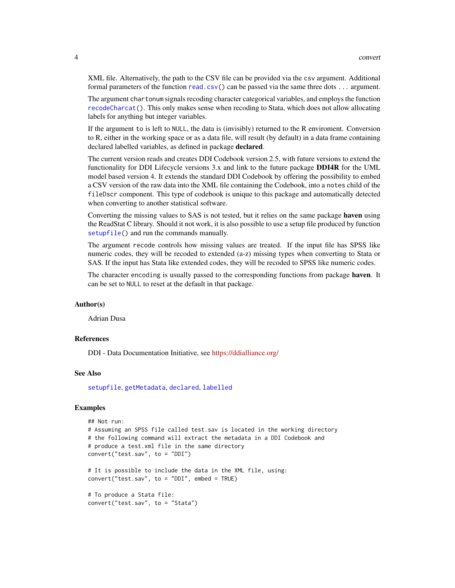<span id="page-3-0"></span>XML file. Alternatively, the path to the CSV file can be provided via the csv argument. Additional formal parameters of the function [read.csv\(](#page-0-0)) can be passed via the same three dots ... argument.

The argument chartonum signals recoding character categorical variables, and employs the function [recodeCharcat\(](#page-9-1)). This only makes sense when recoding to Stata, which does not allow allocating labels for anything but integer variables.

If the argument to is left to NULL, the data is (invisibly) returned to the R enviroment. Conversion to R, either in the working space or as a data file, will result (by default) in a data frame containing declared labelled variables, as defined in package **declared**.

The current version reads and creates DDI Codebook version 2.5, with future versions to extend the functionality for DDI Lifecycle versions 3.x and link to the future package **DDI4R** for the UML model based version 4. It extends the standard DDI Codebook by offering the possibility to embed a CSV version of the raw data into the XML file containing the Codebook, into a notes child of the fileDscr component. This type of codebook is unique to this package and automatically detected when converting to another statistical software.

Converting the missing values to SAS is not tested, but it relies on the same package haven using the ReadStat C library. Should it not work, it is also possible to use a setup file produced by function [setupfile\(](#page-12-1)) and run the commands manually.

The argument recode controls how missing values are treated. If the input file has SPSS like numeric codes, they will be recoded to extended (a-z) missing types when converting to Stata or SAS. If the input has Stata like extended codes, they will be recoded to SPSS like numeric codes.

The character encoding is usually passed to the corresponding functions from package haven. It can be set to NULL to reset at the default in that package.

## Author(s)

Adrian Dusa

### References

DDI - Data Documentation Initiative, see <https://ddialliance.org/>

## See Also

[setupfile](#page-12-1), [getMetadata](#page-7-1), [declared](#page-0-0), [labelled](#page-0-0)

```
## Not run:
# Assuming an SPSS file called test.sav is located in the working directory
# the following command will extract the metadata in a DDI Codebook and
# produce a test.xml file in the same directory
convert("test.sav", to = "DDI")
# It is possible to include the data in the XML file, using:
convert("test.sav", to = "DDI", embed = TRUE)
# To produce a Stata file:
convert("test.sav", to = "Stata")
```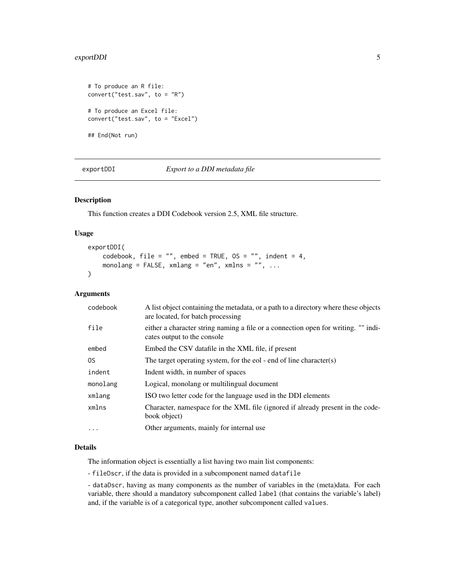## <span id="page-4-0"></span>exportDDI 5

```
# To produce an R file:
convert("test.sav", to = "R")
# To produce an Excel file:
convert("test.sav", to = "Excel")
## End(Not run)
```
exportDDI *Export to a DDI metadata file*

## Description

This function creates a DDI Codebook version 2.5, XML file structure.

## Usage

```
exportDDI(
    codebook, file = "", embed = TRUE, OS = "", indent = 4,
    monolang = FALSE, xmlang = "en", xmlns = "", ...)
```
## Arguments

| codebook  | A list object containing the metadata, or a path to a directory where these objects<br>are located, for batch processing |
|-----------|--------------------------------------------------------------------------------------------------------------------------|
| file      | either a character string naming a file or a connection open for writing. "" indi-<br>cates output to the console        |
| embed     | Embed the CSV datafile in the XML file, if present                                                                       |
| OS.       | The target operating system, for the eol - end of line character(s)                                                      |
| indent    | Indent width, in number of spaces                                                                                        |
| monolang  | Logical, monolang or multilingual document                                                                               |
| xmlang    | ISO two letter code for the language used in the DDI elements                                                            |
| xmlns     | Character, namespace for the XML file (ignored if already present in the code-<br>book object)                           |
| $\ddotsc$ | Other arguments, mainly for internal use                                                                                 |

## Details

The information object is essentially a list having two main list components:

- fileDscr, if the data is provided in a subcomponent named datafile

- dataDscr, having as many components as the number of variables in the (meta)data. For each variable, there should a mandatory subcomponent called label (that contains the variable's label) and, if the variable is of a categorical type, another subcomponent called values.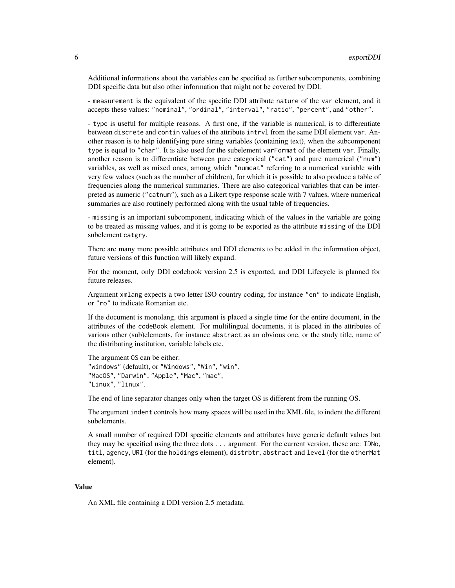Additional informations about the variables can be specified as further subcomponents, combining DDI specific data but also other information that might not be covered by DDI:

- measurement is the equivalent of the specific DDI attribute nature of the var element, and it accepts these values: "nominal", "ordinal", "interval", "ratio", "percent", and "other".

- type is useful for multiple reasons. A first one, if the variable is numerical, is to differentiate between discrete and contin values of the attribute intrvl from the same DDI element var. Another reason is to help identifying pure string variables (containing text), when the subcomponent type is equal to "char". It is also used for the subelement varFormat of the element var. Finally, another reason is to differentiate between pure categorical ("cat") and pure numerical ("num") variables, as well as mixed ones, among which "numcat" referring to a numerical variable with very few values (such as the number of children), for which it is possible to also produce a table of frequencies along the numerical summaries. There are also categorical variables that can be interpreted as numeric ("catnum"), such as a Likert type response scale with 7 values, where numerical summaries are also routinely performed along with the usual table of frequencies.

- missing is an important subcomponent, indicating which of the values in the variable are going to be treated as missing values, and it is going to be exported as the attribute missing of the DDI subelement catgry.

There are many more possible attributes and DDI elements to be added in the information object, future versions of this function will likely expand.

For the moment, only DDI codebook version 2.5 is exported, and DDI Lifecycle is planned for future releases.

Argument xmlang expects a two letter ISO country coding, for instance "en" to indicate English, or "ro" to indicate Romanian etc.

If the document is monolang, this argument is placed a single time for the entire document, in the attributes of the codeBook element. For multilingual documents, it is placed in the attributes of various other (sub)elements, for instance abstract as an obvious one, or the study title, name of the distributing institution, variable labels etc.

The argument OS can be either: "windows" (default), or "Windows", "Win", "win", "MacOS", "Darwin", "Apple", "Mac", "mac", "Linux", "linux".

The end of line separator changes only when the target OS is different from the running OS.

The argument indent controls how many spaces will be used in the XML file, to indent the different subelements.

A small number of required DDI specific elements and attributes have generic default values but they may be specified using the three dots ... argument. For the current version, these are: IDNo, titl, agency, URI (for the holdings element), distrbtr, abstract and level (for the otherMat element).

## Value

An XML file containing a DDI version 2.5 metadata.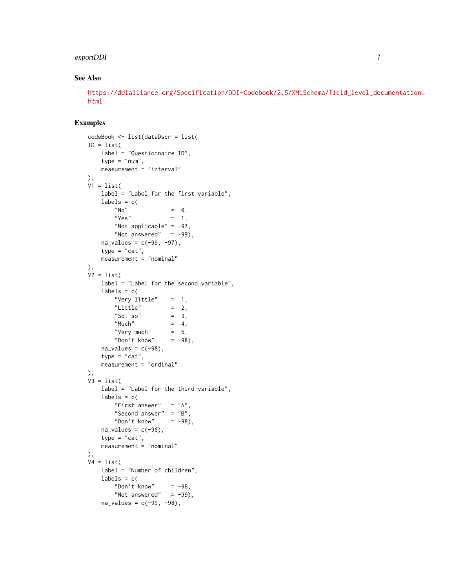## exportDDI 7

## See Also

[https://ddialliance.org/Specification/DDI-Codebook/2.5/XMLSchema/field\\_level\\_doc](https://ddialliance.org/Specification/DDI-Codebook/2.5/XMLSchema/field_level_documentation.html)umentation. [html](https://ddialliance.org/Specification/DDI-Codebook/2.5/XMLSchema/field_level_documentation.html)

```
codeBook <- list(dataDscr = list(
ID = list(label = "Questionnaire ID",
   type = "num",
   measurement = "interval"
),
V1 = list(label = "Label for the first variable",
   labels = c(N^{\prime} No" = 0,
       "Yes" = 1,
       "Not applicable" = -97,
       "Not answered" = -99),
   na\_values = c(-99, -97),
   type = "cat",measurement = "nominal"
),
V2 = list(label = "Label for the second variable",
   labels = c("Very little" = 1,
       "Little" = 2,
       "So, so" = 3,
       "Much" = 4,<br>"Verv much" = 5,
       "Very much"
       "Don't know" = -98),
   na\_values = c(-98),
   type = "cat",measurement = "ordinal"
),
V3 = list(label = "Label for the third variable",
   labels = c("First answer" = "A",
       "Second answer" = "B",
       "Don't know" = -98),
   na\_values = c(-98),
   type = "cat",
   measurement = "nominal"
),
V4 = list(label = "Number of children",
   labels = c("Don't know" = -98,
       "Not answered" = -99),
   na\_values = c(-99, -98),
```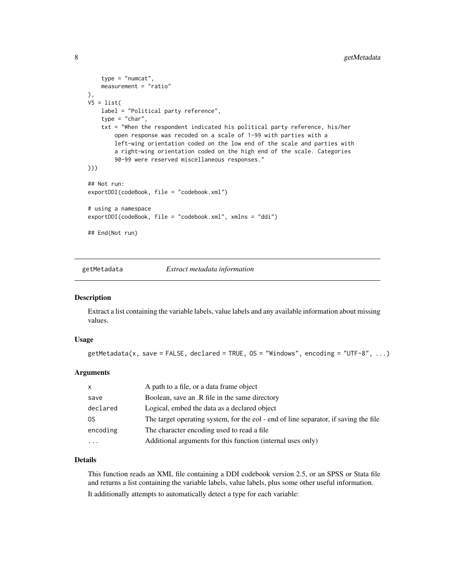```
type = "numcat",
   measurement = "ratio"
),
V5 = list(label = "Political party reference",
    type = "char",
    txt = "When the respondent indicated his political party reference, his/her
       open response was recoded on a scale of 1-99 with parties with a
       left-wing orientation coded on the low end of the scale and parties with
       a right-wing orientation coded on the high end of the scale. Categories
       90-99 were reserved miscellaneous responses."
)))
## Not run:
exportDDI(codeBook, file = "codebook.xml")
# using a namespace
exportDDI(codeBook, file = "codebook.xml", xmlns = "ddi")
## End(Not run)
```
<span id="page-7-1"></span>getMetadata *Extract metadata information*

#### Description

Extract a list containing the variable labels, value labels and any available information about missing values.

#### Usage

```
getMetadata(x, save = FALSE, declared = TRUE, OS = "Windows", encoding = "UTF-8", ...)
```
#### Arguments

| $\mathsf{x}$ | A path to a file, or a data frame object                                             |
|--------------|--------------------------------------------------------------------------------------|
| save         | Boolean, save an .R file in the same directory                                       |
| declared     | Logical, embed the data as a declared object                                         |
| 0S           | The target operating system, for the eol - end of line separator, if saving the file |
| encoding     | The character encoding used to read a file.                                          |
| .            | Additional arguments for this function (internal uses only)                          |

#### Details

This function reads an XML file containing a DDI codebook version 2.5, or an SPSS or Stata file and returns a list containing the variable labels, value labels, plus some other useful information.

It additionally attempts to automatically detect a type for each variable:

<span id="page-7-0"></span>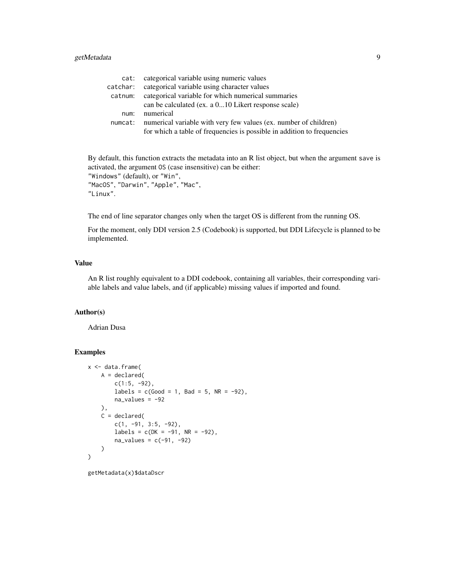## getMetadata 9

| categorical variable using numeric values                               |
|-------------------------------------------------------------------------|
| categorical variable using character values                             |
| categorical variable for which numerical summaries                      |
| can be calculated (ex. a 010 Likert response scale)                     |
| numerical                                                               |
| numerical variable with very few values (ex. number of children)        |
| for which a table of frequencies is possible in addition to frequencies |
|                                                                         |

By default, this function extracts the metadata into an R list object, but when the argument save is activated, the argument OS (case insensitive) can be either: "Windows" (default), or "Win", "MacOS", "Darwin", "Apple", "Mac", "Linux".

The end of line separator changes only when the target OS is different from the running OS.

For the moment, only DDI version 2.5 (Codebook) is supported, but DDI Lifecycle is planned to be implemented.

## Value

An R list roughly equivalent to a DDI codebook, containing all variables, their corresponding variable labels and value labels, and (if applicable) missing values if imported and found.

## Author(s)

Adrian Dusa

## Examples

```
x <- data.frame(
   A = declared(
       c(1:5, -92),
       labels = c(Good = 1, Bad = 5, NR = -92),
       na\_values = -92),
   C = declared(
       c(1, -91, 3:5, -92),
       labels = c(DK = -91, NR = -92),
       na\_values = c(-91, -92))
)
```
getMetadata(x)\$dataDscr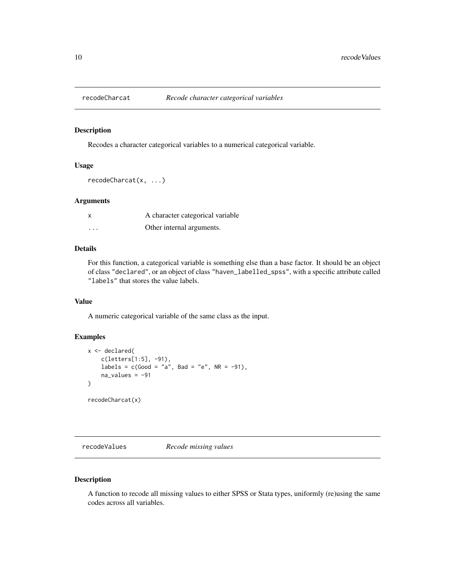<span id="page-9-1"></span><span id="page-9-0"></span>

## Description

Recodes a character categorical variables to a numerical categorical variable.

#### Usage

recodeCharcat(x, ...)

## Arguments

| x        | A character categorical variable |
|----------|----------------------------------|
| $\cdots$ | Other internal arguments.        |

## Details

For this function, a categorical variable is something else than a base factor. It should be an object of class "declared", or an object of class "haven\_labelled\_spss", with a specific attribute called "labels" that stores the value labels.

## Value

A numeric categorical variable of the same class as the input.

## Examples

```
x <- declared(
    c(letters[1:5], -91),
    labels = c(Good = "a", Bad = "e", NR = -91),na\_values = -91\mathcal{L}recodeCharcat(x)
```
recodeValues *Recode missing values*

## Description

A function to recode all missing values to either SPSS or Stata types, uniformly (re)using the same codes across all variables.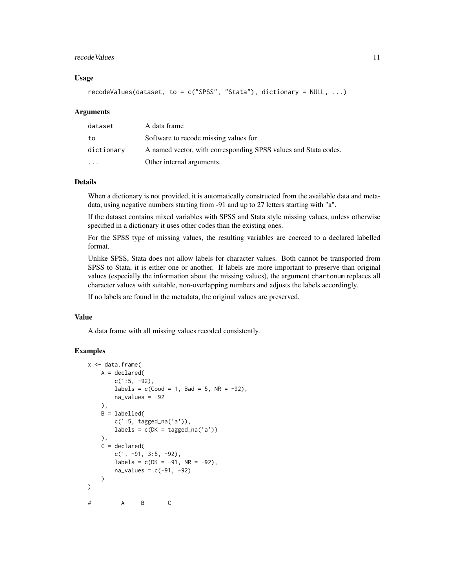#### recode Values **11**

## Usage

```
recodeValues(dataset, to = c("SPSS", "Stata"), dictionary = NULL, ...)
```
#### Arguments

| dataset                 | A data frame                                                    |
|-------------------------|-----------------------------------------------------------------|
| to                      | Software to recode missing values for                           |
| dictionary              | A named vector, with corresponding SPSS values and Stata codes. |
| $\cdot$ $\cdot$ $\cdot$ | Other internal arguments.                                       |

#### Details

When a dictionary is not provided, it is automatically constructed from the available data and metadata, using negative numbers starting from -91 and up to 27 letters starting with "a".

If the dataset contains mixed variables with SPSS and Stata style missing values, unless otherwise specified in a dictionary it uses other codes than the existing ones.

For the SPSS type of missing values, the resulting variables are coerced to a declared labelled format.

Unlike SPSS, Stata does not allow labels for character values. Both cannot be transported from SPSS to Stata, it is either one or another. If labels are more important to preserve than original values (especially the information about the missing values), the argument chartonum replaces all character values with suitable, non-overlapping numbers and adjusts the labels accordingly.

If no labels are found in the metadata, the original values are preserved.

#### Value

A data frame with all missing values recoded consistently.

```
x <- data.frame(
   A = declared(c(1:5, -92),
       labels = c(Good = 1, Bad = 5, NR = -92),
       na_values = -92),
   B = labelled(
       c(1:5, tagged_na('a')),
       labels = c(DK = tagged\_na('a'))),
   C = declared(
       c(1, -91, 3:5, -92),
       labels = c(DK = -91, NR = -92),
       na\_values = c(-91, -92))
)
# A B C
```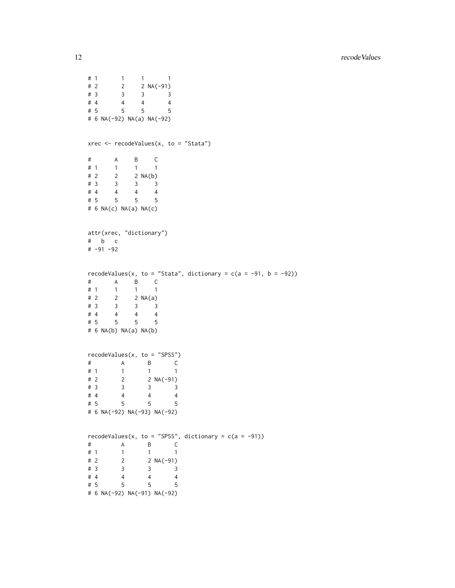```
# 1 1 1 1
# 2 2 2 NA(-91)
# 3 3 3 3
# 4 4 4 4
# 5 5 5 5
# 6 NA(-92) NA(a) NA(-92)
xrec \leq recodeValues(x, to = "Stata")
\begin{array}{ccccccccc}\n# & & A & & B & & C \\
# & 1 & & 1 & & 1 & & 1\n\end{array}# 1 1 1 1
# 2 2 2 NA(b)<br># 3 3 3 3
\frac{1}{4} 3 3 3 3
# 4 4 4 4
# 5 5 5 5
# 6 NA(c) NA(a) NA(c)
attr(xrec, "dictionary")
# b c
# -91 -92
recodeValues(x, to = "Stata", dictionary = c(a = -91, b = -92))
\begin{array}{ccccccccc}\n# & & A & & B & & C \\
# & 1 & & 1 & & 1 & & 1\n\end{array}# 1 1 1 1
# 2 2 2 NA(a)
# 3 3 3 3
# 4 4 4 4
# 5 5 5 5
# 6 NA(b) NA(a) NA(b)
recodeValues(x, to = "SPSS")
# A B C
# 1 1 1 1
# 2 2 2 NA(-91)
# 3 3 3 3
# 4 4 4 4
\frac{1}{4} 5 5 5 5
# 6 NA(-92) NA(-93) NA(-92)
recodeValues(x, to = "SPSS", dictionary = c(a = -91))
# A B C
# 1 1 1 1
# 2 2 NA(-91)
# 3 3 3 3
# 4 4 4 4
# 5 5 5 5
# 6 NA(-92) NA(-91) NA(-92)
```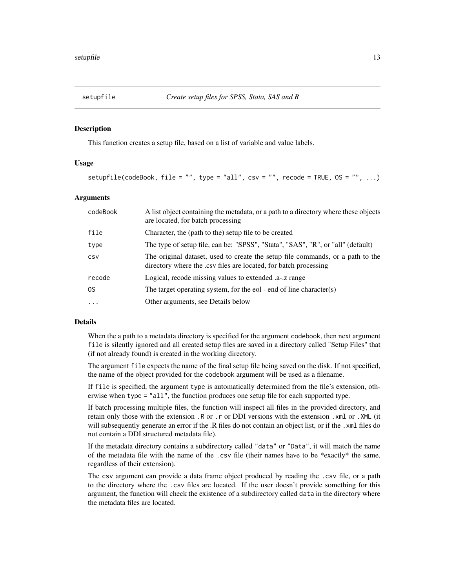#### <span id="page-12-1"></span><span id="page-12-0"></span>Description

This function creates a setup file, based on a list of variable and value labels.

## Usage

```
setupfile(codeBook, file = "", type = "all", csv = "", recode = TRUE, OS = "", ...)
```
## Arguments

| codeBook | A list object containing the metadata, or a path to a directory where these objects<br>are located, for batch processing                           |
|----------|----------------------------------------------------------------------------------------------------------------------------------------------------|
| file     | Character, the (path to the) setup file to be created                                                                                              |
| type     | The type of setup file, can be: "SPSS", "Stata", "SAS", "R", or "all" (default)                                                                    |
| CSV      | The original dataset, used to create the setup file commands, or a path to the<br>directory where the .csv files are located, for batch processing |
| recode   | Logical, recode missing values to extended .a-.z range                                                                                             |
| 0S       | The target operating system, for the eol - end of line character(s)                                                                                |
| $\cdot$  | Other arguments, see Details below                                                                                                                 |

## Details

When the a path to a metadata directory is specified for the argument codebook, then next argument file is silently ignored and all created setup files are saved in a directory called "Setup Files" that (if not already found) is created in the working directory.

The argument file expects the name of the final setup file being saved on the disk. If not specified, the name of the object provided for the codebook argument will be used as a filename.

If file is specified, the argument type is automatically determined from the file's extension, otherwise when type = "all", the function produces one setup file for each supported type.

If batch processing multiple files, the function will inspect all files in the provided directory, and retain only those with the extension .R or .r or DDI versions with the extension .xml or .XML (it will subsequently generate an error if the .R files do not contain an object list, or if the .xml files do not contain a DDI structured metadata file).

If the metadata directory contains a subdirectory called "data" or "Data", it will match the name of the metadata file with the name of the .csv file (their names have to be \*exactly\* the same, regardless of their extension).

The csv argument can provide a data frame object produced by reading the .csv file, or a path to the directory where the .csv files are located. If the user doesn't provide something for this argument, the function will check the existence of a subdirectory called data in the directory where the metadata files are located.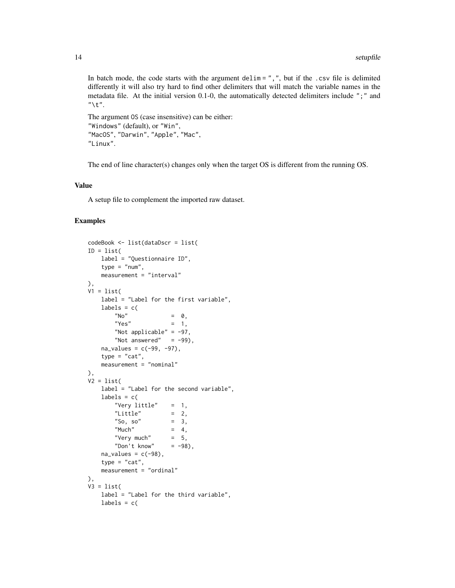In batch mode, the code starts with the argument delim = ",", but if the .csv file is delimited differently it will also try hard to find other delimiters that will match the variable names in the metadata file. At the initial version 0.1-0, the automatically detected delimiters include ";" and  $"$ \t".

```
The argument OS (case insensitive) can be either:
"Windows" (default), or "Win",
"MacOS", "Darwin", "Apple", "Mac",
"Linux".
```
The end of line character(s) changes only when the target OS is different from the running OS.

#### Value

A setup file to complement the imported raw dataset.

```
codeBook <- list(dataDscr = list(
ID = list(label = "Questionnaire ID",
   type = "num",
   measurement = "interval"
),
V1 = list(label = "Label for the first variable",
   labels = c(N^{\prime} No" = 0,
       "Yes" = 1,
       "Not applicable" = -97,
       "Not answered" = -99),
   na\_values = c(-99, -97),
   type = "cat",measurement = "nominal"
),
V2 = list(label = "Label for the second variable",
   labels = c("Very little" = 1,
       "Little" = 2,
       "So, so" = 3,
       "Much" = 4,
       "Very much" = 5,
       "Don't know" = -98),
   na\_values = c(-98),
   type = "cat",
   measurement = "ordinal"
),
V3 = list(label = "Label for the third variable",
   labels = c(
```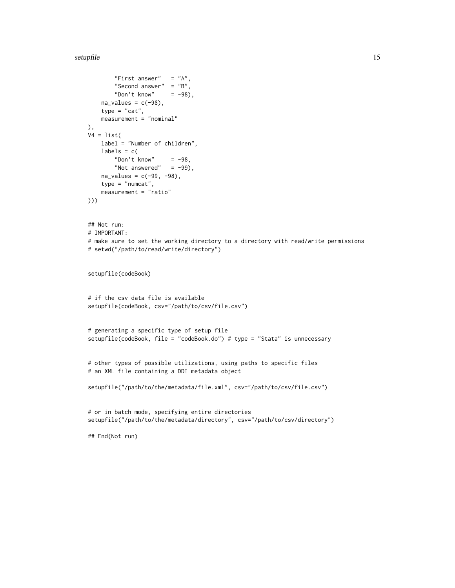#### setupfile that the setup of the setup of the setup of the setup of the setup of the setup of the setup of the setup of the setup of the setup of the setup of the setup of the setup of the setup of the setup of the setup of

```
"First answer" = "A",
        "Second answer" = "B",
        "Don't know" = -98),
   na\_values = c(-98),
    type = "cat",measurement = "nominal"
),
V4 = list(label = "Number of children",
   labels = c("Don't know" = -98,
       "Not answered" = -99),
    na\_values = c(-99, -98),
    type = "numcat",
    measurement = "ratio"
)))
## Not run:
# IMPORTANT:
# make sure to set the working directory to a directory with read/write permissions
# setwd("/path/to/read/write/directory")
setupfile(codeBook)
# if the csv data file is available
setupfile(codeBook, csv="/path/to/csv/file.csv")
# generating a specific type of setup file
setupfile(codeBook, file = "codeBook.do") # type = "Stata" is unnecessary
# other types of possible utilizations, using paths to specific files
# an XML file containing a DDI metadata object
setupfile("/path/to/the/metadata/file.xml", csv="/path/to/csv/file.csv")
# or in batch mode, specifying entire directories
setupfile("/path/to/the/metadata/directory", csv="/path/to/csv/directory")
## End(Not run)
```